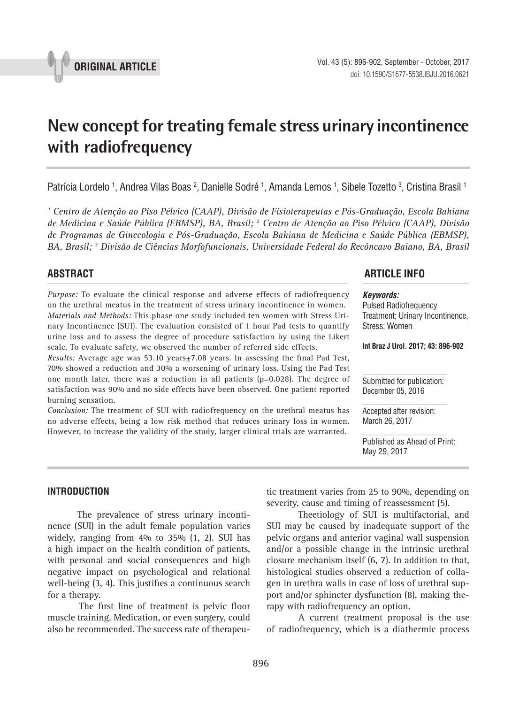

# **New concept for treating female stress urinary incontinence with radiofrequency \_\_\_\_\_\_\_\_\_\_\_\_\_\_\_\_\_\_\_\_\_\_\_\_\_\_\_\_\_\_\_\_\_\_\_\_\_\_\_\_\_\_\_\_\_\_\_**

Patrícia Lordelo <sup>1</sup>, Andrea Vilas Boas <sup>2</sup>, Danielle Sodré <sup>1</sup>, Amanda Lemos <sup>1</sup>, Sibele Tozetto <sup>3</sup>, Cristina Brasil <sup>1</sup>

<sup>1</sup> Centro de Atenção ao Piso Pélvico (CAAP), Divisão de Fisioterapeutas e Pós-Graduação, Escola Bahiana *de Medicina e Saúde Pública (EBMSP), BA, Brasil; 2 Centro de Atenção ao Piso Pélvico (CAAP), Divisão de Programas de Ginecologia e Pós-Graduação, Escola Bahiana de Medicina e Saúde Pública (EBMSP), BA, Brasil; 3 Divisão de Ciências Morfofuncionais, Universidade Federal do Recôncavo Baiano, BA, Brasil*

*Purpose:* To evaluate the clinical response and adverse effects of radiofrequency on the urethral meatus in the treatment of stress urinary incontinence in women. *Materials and Methods:* This phase one study included ten women with Stress Urinary Incontinence (SUI). The evaluation consisted of 1 hour Pad tests to quantify urine loss and to assess the degree of procedure satisfaction by using the Likert scale. To evaluate safety, we observed the number of referred side effects.

*Results: Average age was 53.10 years*±7.08 years. In assessing the final Pad Test, 70% showed a reduction and 30% a worsening of urinary loss. Using the Pad Test one month later, there was a reduction in all patients (p=0.028). The degree of satisfaction was 90% and no side effects have been observed. One patient reported burning sensation.

*Conclusion:* The treatment of SUI with radiofrequency on the urethral meatus has no adverse effects, being a low risk method that reduces urinary loss in women. However, to increase the validity of the study, larger clinical trials are warranted.

# **ABSTRACT ARTICLE INFO** *\_\_\_\_\_\_\_\_\_\_\_\_\_\_\_\_\_\_\_\_\_\_\_\_\_\_\_\_\_\_\_\_\_\_\_\_\_\_\_\_\_\_\_\_\_\_\_\_\_\_\_\_\_\_\_\_\_\_\_\_\_\_ \_\_\_\_\_\_\_\_\_\_\_\_\_\_\_\_\_\_\_\_\_\_*

#### *Keywords:*

Pulsed Radiofrequency Treatment; Urinary Incontinence, Stress; Women

**Int Braz J Urol. 2017; 43: 896-902**

Submitted for publication: December 05, 2016

Accepted after revision: March 26, 2017

Published as Ahead of Print: May 29, 2017

# **INTRODUCTION**

The prevalence of stress urinary incontinence (SUI) in the adult female population varies widely, ranging from 4% to 35% (1, 2). SUI has a high impact on the health condition of patients, with personal and social consequences and high negative impact on psychological and relational well-being (3, 4). This justifies a continuous search for a therapy.

The first line of treatment is pelvic floor muscle training. Medication, or even surgery, could also be recommended. The success rate of therapeutic treatment varies from 25 to 90%, depending on severity, cause and timing of reassessment (5).

Theetiology of SUI is multifactorial, and SUI may be caused by inadequate support of the pelvic organs and anterior vaginal wall suspension and/or a possible change in the intrinsic urethral closure mechanism itself (6, 7). In addition to that, histological studies observed a reduction of collagen in urethra walls in case of loss of urethral support and/or sphincter dysfunction (8), making therapy with radiofrequency an option.

A current treatment proposal is the use of radiofrequency, which is a diathermic process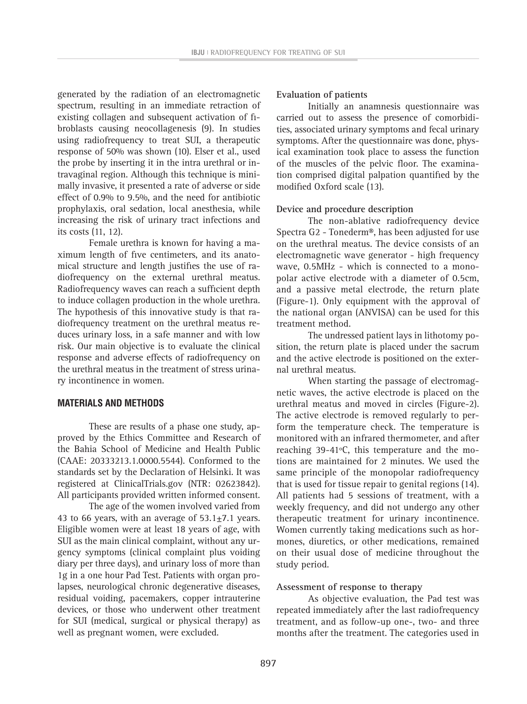generated by the radiation of an electromagnetic spectrum, resulting in an immediate retraction of existing collagen and subsequent activation of fibroblasts causing neocollagenesis (9). In studies using radiofrequency to treat SUI, a therapeutic response of 50% was shown (10). Elser et al., used the probe by inserting it in the intra urethral or intravaginal region. Although this technique is minimally invasive, it presented a rate of adverse or side effect of 0.9% to 9.5%, and the need for antibiotic prophylaxis, oral sedation, local anesthesia, while increasing the risk of urinary tract infections and its costs (11, 12).

Female urethra is known for having a maximum length of five centimeters, and its anatomical structure and length justifies the use of radiofrequency on the external urethral meatus. Radiofrequency waves can reach a sufficient depth to induce collagen production in the whole urethra. The hypothesis of this innovative study is that radiofrequency treatment on the urethral meatus reduces urinary loss, in a safe manner and with low risk. Our main objective is to evaluate the clinical response and adverse effects of radiofrequency on the urethral meatus in the treatment of stress urinary incontinence in women.

# **MATERIALS AND METHODS**

These are results of a phase one study, approved by the Ethics Committee and Research of the Bahia School of Medicine and Health Public (CAAE: 20333213.1.0000.5544). Conformed to the standards set by the Declaration of Helsinki. It was registered at ClinicalTrials.gov (NTR: 02623842). All participants provided written informed consent.

The age of the women involved varied from 43 to 66 years, with an average of 53.1±7.1 years. Eligible women were at least 18 years of age, with SUI as the main clinical complaint, without any urgency symptoms (clinical complaint plus voiding diary per three days), and urinary loss of more than 1g in a one hour Pad Test. Patients with organ prolapses, neurological chronic degenerative diseases, residual voiding, pacemakers, copper intrauterine devices, or those who underwent other treatment for SUI (medical, surgical or physical therapy) as well as pregnant women, were excluded.

### **Evaluation of patients**

Initially an anamnesis questionnaire was carried out to assess the presence of comorbidities, associated urinary symptoms and fecal urinary symptoms. After the questionnaire was done, physical examination took place to assess the function of the muscles of the pelvic floor. The examination comprised digital palpation quantified by the modified Oxford scale (13).

### **Device and procedure description**

The non-ablative radiofrequency device Spectra G2 - Tonederm®, has been adjusted for use on the urethral meatus. The device consists of an electromagnetic wave generator - high frequency wave, 0.5MHz - which is connected to a monopolar active electrode with a diameter of 0.5cm, and a passive metal electrode, the return plate (Figure-1). Only equipment with the approval of the national organ (ANVISA) can be used for this treatment method.

The undressed patient lays in lithotomy position, the return plate is placed under the sacrum and the active electrode is positioned on the external urethral meatus.

When starting the passage of electromagnetic waves, the active electrode is placed on the urethral meatus and moved in circles (Figure-2). The active electrode is removed regularly to perform the temperature check. The temperature is monitored with an infrared thermometer, and after reaching 39-41ºC, this temperature and the motions are maintained for 2 minutes. We used the same principle of the monopolar radiofrequency that is used for tissue repair to genital regions (14). All patients had 5 sessions of treatment, with a weekly frequency, and did not undergo any other therapeutic treatment for urinary incontinence. Women currently taking medications such as hormones, diuretics, or other medications, remained on their usual dose of medicine throughout the study period.

#### **Assessment of response to therapy**

As objective evaluation, the Pad test was repeated immediately after the last radiofrequency treatment, and as follow-up one-, two- and three months after the treatment. The categories used in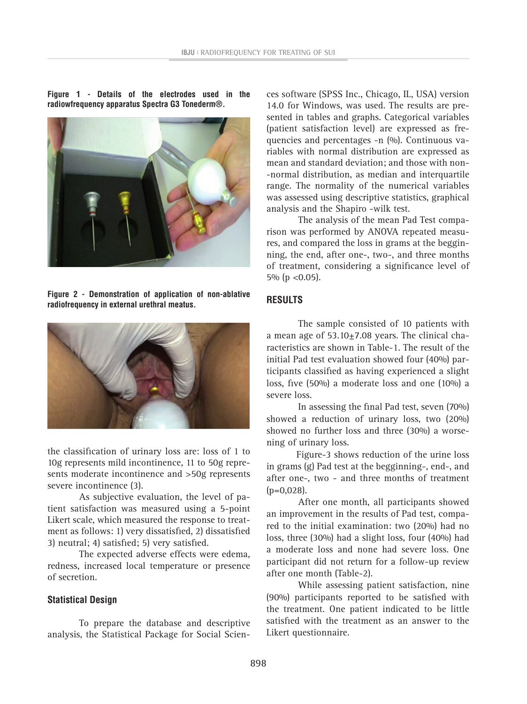**Figure 1 - Details of the electrodes used in the radiowfrequency apparatus Spectra G3 Tonederm®.**



**Figure 2 - Demonstration of application of non-ablative radiofrequency in external urethral meatus.**



the classification of urinary loss are: loss of 1 to 10g represents mild incontinence, 11 to 50g represents moderate incontinence and >50g represents severe incontinence (3).

As subjective evaluation, the level of patient satisfaction was measured using a 5-point Likert scale, which measured the response to treatment as follows: 1) very dissatisfied, 2) dissatisfied 3) neutral; 4) satisfied; 5) very satisfied.

The expected adverse effects were edema, redness, increased local temperature or presence of secretion.

# **Statistical Design**

To prepare the database and descriptive analysis, the Statistical Package for Social Sciences software (SPSS Inc., Chicago, IL, USA) version 14.0 for Windows, was used. The results are presented in tables and graphs. Categorical variables (patient satisfaction level) are expressed as frequencies and percentages -n (%). Continuous variables with normal distribution are expressed as mean and standard deviation; and those with non- -normal distribution, as median and interquartile range. The normality of the numerical variables was assessed using descriptive statistics, graphical analysis and the Shapiro -wilk test.

The analysis of the mean Pad Test comparison was performed by ANOVA repeated measures, and compared the loss in grams at the begginning, the end, after one-, two-, and three months of treatment, considering a significance level of 5% ( $p < 0.05$ ).

# **RESULTS**

The sample consisted of 10 patients with a mean age of  $53.10 \pm 7.08$  years. The clinical characteristics are shown in Table-1. The result of the initial Pad test evaluation showed four (40%) participants classified as having experienced a slight loss, five (50%) a moderate loss and one (10%) a severe loss.

In assessing the final Pad test, seven (70%) showed a reduction of urinary loss, two (20%) showed no further loss and three (30%) a worsening of urinary loss.

Figure-3 shows reduction of the urine loss in grams (g) Pad test at the begginning-, end-, and after one-, two - and three months of treatment  $(p=0.028)$ .

After one month, all participants showed an improvement in the results of Pad test, compared to the initial examination: two (20%) had no loss, three (30%) had a slight loss, four (40%) had a moderate loss and none had severe loss. One participant did not return for a follow-up review after one month (Table-2).

While assessing patient satisfaction, nine (90%) participants reported to be satisfied with the treatment. One patient indicated to be little satisfied with the treatment as an answer to the Likert questionnaire.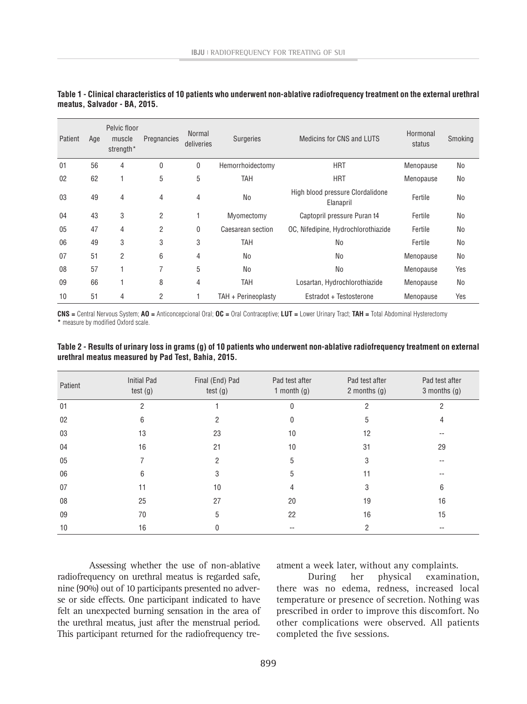| Patient | Age | Pelvic floor<br>muscle<br>strength* | Pregnancies    | <b>Normal</b><br>deliveries | <b>Surgeries</b>    | Medicins for CNS and LUTS                     | Hormonal<br>status | Smoking        |
|---------|-----|-------------------------------------|----------------|-----------------------------|---------------------|-----------------------------------------------|--------------------|----------------|
| 01      | 56  | 4                                   | 0              | 0                           | Hemorrhoidectomy    | <b>HRT</b>                                    | Menopause          | No             |
| 02      | 62  |                                     | 5              | 5                           | TAH                 | <b>HRT</b>                                    | Menopause          | No             |
| 03      | 49  | $\overline{4}$                      | $\overline{4}$ | 4                           | <b>No</b>           | High blood pressure Clordalidone<br>Elanapril | Fertile            | No             |
| 04      | 43  | 3                                   | $\overline{2}$ |                             | Myomectomy          | Captopril pressure Puran t4                   | Fertile            | No             |
| 05      | 47  | 4                                   | $\overline{2}$ | 0                           | Caesarean section   | OC, Nifedipine, Hydrochlorothiazide           | Fertile            | No             |
| 06      | 49  | 3                                   | 3              | 3                           | TAH                 | <b>No</b>                                     | Fertile            | No             |
| 07      | 51  | $\overline{2}$                      | 6              | 4                           | N <sub>0</sub>      | <b>No</b>                                     | Menopause          | N <sub>0</sub> |
| 08      | 57  | f                                   | 7              | 5                           | N <sub>0</sub>      | <b>No</b>                                     | Menopause          | Yes            |
| 09      | 66  | ۰                                   | 8              | 4                           | <b>TAH</b>          | Losartan, Hydrochlorothiazide                 | Menopause          | No             |
| 10      | 51  | 4                                   | $\overline{2}$ |                             | TAH + Perineoplasty | Estradot + Testosterone                       | Menopause          | Yes            |

# **Table 1 - Clinical characteristics of 10 patients who underwent non-ablative radiofrequency treatment on the external urethral meatus, Salvador - BA, 2015.**

**CNS =** Central Nervous System; **AO =** Anticoncepcional Oral; **OC =** Oral Contraceptive; **LUT =** Lower Urinary Tract; **TAH =** Total Abdominal Hysterectomy **\*** measure by modified Oxford scale.

| Patient | <b>Initial Pad</b><br>test(g) | Final (End) Pad<br>test(g) | Pad test after<br>1 month $(g)$ | Pad test after<br>2 months $(g)$ | Pad test after<br>$3$ months $(g)$ |
|---------|-------------------------------|----------------------------|---------------------------------|----------------------------------|------------------------------------|
| 01      | 2                             |                            | 0                               | 2                                | 2                                  |
| 02      | 6                             | 2                          | 0                               | 5                                | 4                                  |
| 03      | 13                            | 23                         | 10                              | 12                               |                                    |
| 04      | 16                            | 21                         | 10                              | 31                               | 29                                 |
| 05      |                               | 2                          | 5                               | 3                                |                                    |
| 06      | 6                             | 3                          | 5                               | 11                               | --                                 |
| 07      |                               | 10                         |                                 | 3                                | 6                                  |
| 08      | 25                            | 27                         | 20                              | 19                               | 16                                 |
| 09      | 70                            | 5                          | 22                              | 16                               | 15                                 |
| 10      | 16                            |                            |                                 | 2                                |                                    |

**Table 2 - Results of urinary loss in grams (g) of 10 patients who underwent non-ablative radiofrequency treatment on external urethral meatus measured by Pad Test, Bahia, 2015.**

Assessing whether the use of non-ablative radiofrequency on urethral meatus is regarded safe, nine (90%) out of 10 participants presented no adverse or side effects. One participant indicated to have felt an unexpected burning sensation in the area of the urethral meatus, just after the menstrual period. This participant returned for the radiofrequency treatment a week later, without any complaints.

During her physical examination, there was no edema, redness, increased local temperature or presence of secretion. Nothing was prescribed in order to improve this discomfort. No other complications were observed. All patients completed the five sessions.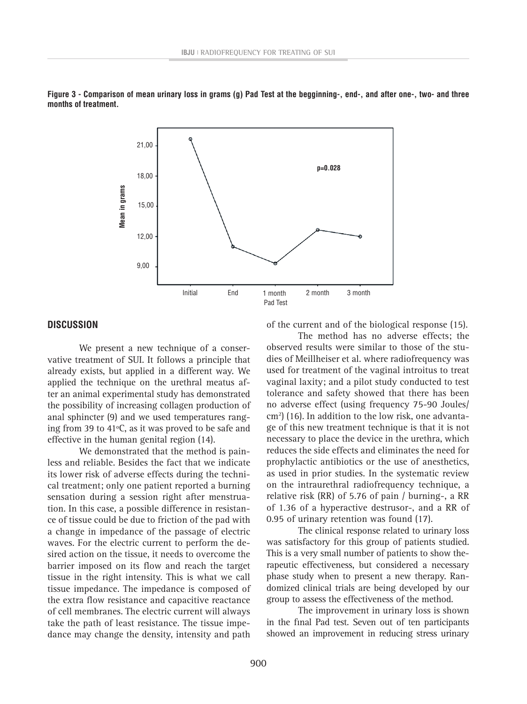

**Figure 3 - Comparison of mean urinary loss in grams (g) Pad Test at the begginning-, end-, and after one-, two- and three months of treatment.**

# **DISCUSSION**

We present a new technique of a conservative treatment of SUI. It follows a principle that already exists, but applied in a different way. We applied the technique on the urethral meatus after an animal experimental study has demonstrated the possibility of increasing collagen production of anal sphincter (9) and we used temperatures ranging from 39 to 41ºC, as it was proved to be safe and effective in the human genital region (14).

We demonstrated that the method is painless and reliable. Besides the fact that we indicate its lower risk of adverse effects during the technical treatment; only one patient reported a burning sensation during a session right after menstruation. In this case, a possible difference in resistance of tissue could be due to friction of the pad with a change in impedance of the passage of electric waves. For the electric current to perform the desired action on the tissue, it needs to overcome the barrier imposed on its flow and reach the target tissue in the right intensity. This is what we call tissue impedance. The impedance is composed of the extra flow resistance and capacitive reactance of cell membranes. The electric current will always take the path of least resistance. The tissue impedance may change the density, intensity and path

of the current and of the biological response (15).

The method has no adverse effects; the observed results were similar to those of the studies of Meillheiser et al. where radiofrequency was used for treatment of the vaginal introitus to treat vaginal laxity; and a pilot study conducted to test tolerance and safety showed that there has been no adverse effect (using frequency 75-90 Joules/ cm2 ) (16). In addition to the low risk, one advantage of this new treatment technique is that it is not necessary to place the device in the urethra, which reduces the side effects and eliminates the need for prophylactic antibiotics or the use of anesthetics, as used in prior studies. In the systematic review on the intraurethral radiofrequency technique, a relative risk (RR) of 5.76 of pain / burning-, a RR of 1.36 of a hyperactive destrusor-, and a RR of 0.95 of urinary retention was found (17).

The clinical response related to urinary loss was satisfactory for this group of patients studied. This is a very small number of patients to show therapeutic effectiveness, but considered a necessary phase study when to present a new therapy. Randomized clinical trials are being developed by our group to assess the effectiveness of the method.

The improvement in urinary loss is shown in the final Pad test. Seven out of ten participants showed an improvement in reducing stress urinary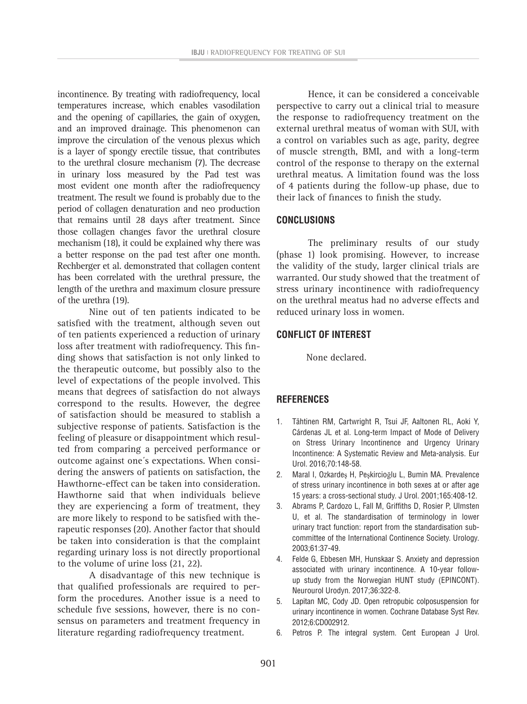incontinence. By treating with radiofrequency, local temperatures increase, which enables vasodilation and the opening of capillaries, the gain of oxygen, and an improved drainage. This phenomenon can improve the circulation of the venous plexus which is a layer of spongy erectile tissue, that contributes to the urethral closure mechanism (7). The decrease in urinary loss measured by the Pad test was most evident one month after the radiofrequency treatment. The result we found is probably due to the period of collagen denaturation and neo production that remains until 28 days after treatment. Since those collagen changes favor the urethral closure mechanism (18), it could be explained why there was a better response on the pad test after one month. Rechberger et al. demonstrated that collagen content has been correlated with the urethral pressure, the length of the urethra and maximum closure pressure of the urethra (19).

Nine out of ten patients indicated to be satisfied with the treatment, although seven out of ten patients experienced a reduction of urinary loss after treatment with radiofrequency. This finding shows that satisfaction is not only linked to the therapeutic outcome, but possibly also to the level of expectations of the people involved. This means that degrees of satisfaction do not always correspond to the results. However, the degree of satisfaction should be measured to stablish a subjective response of patients. Satisfaction is the feeling of pleasure or disappointment which resulted from comparing a perceived performance or outcome against one´s expectations. When considering the answers of patients on satisfaction, the Hawthorne-effect can be taken into consideration. Hawthorne said that when individuals believe they are experiencing a form of treatment, they are more likely to respond to be satisfied with therapeutic responses (20). Another factor that should be taken into consideration is that the complaint regarding urinary loss is not directly proportional to the volume of urine loss (21, 22).

A disadvantage of this new technique is that qualified professionals are required to perform the procedures. Another issue is a need to schedule five sessions, however, there is no consensus on parameters and treatment frequency in literature regarding radiofrequency treatment.

Hence, it can be considered a conceivable perspective to carry out a clinical trial to measure the response to radiofrequency treatment on the external urethral meatus of woman with SUI, with a control on variables such as age, parity, degree of muscle strength, BMI, and with a long-term control of the response to therapy on the external urethral meatus. A limitation found was the loss of 4 patients during the follow-up phase, due to their lack of finances to finish the study.

# **CONCLUSIONS**

The preliminary results of our study (phase 1) look promising. However, to increase the validity of the study, larger clinical trials are warranted. Our study showed that the treatment of stress urinary incontinence with radiofrequency on the urethral meatus had no adverse effects and reduced urinary loss in women.

# **CONFLICT OF INTEREST**

None declared.

# **REFERENCES**

- 1. Tähtinen RM, Cartwright R, Tsui JF, Aaltonen RL, Aoki Y, Cárdenas JL et al. Long-term Impact of Mode of Delivery on Stress Urinary Incontinence and Urgency Urinary Incontinence: A Systematic Review and Meta-analysis. Eur Urol. 2016;70:148-58.
- 2. Maral I, Ozkardeş H, Peşkircioğlu L, Bumin MA. Prevalence of stress urinary incontinence in both sexes at or after age 15 years: a cross-sectional study. J Urol. 2001;165:408-12.
- 3. Abrams P, Cardozo L, Fall M, Griffiths D, Rosier P, Ulmsten U, et al. The standardisation of terminology in lower urinary tract function: report from the standardisation subcommittee of the International Continence Society. Urology. 2003;61:37-49.
- 4. Felde G, Ebbesen MH, Hunskaar S. Anxiety and depression associated with urinary incontinence. A 10-year followup study from the Norwegian HUNT study (EPINCONT). Neurourol Urodyn. 2017;36:322-8.
- 5. Lapitan MC, Cody JD. Open retropubic colposuspension for urinary incontinence in women. Cochrane Database Syst Rev. 2012;6:CD002912.
- 6. Petros P. The integral system. Cent European J Urol.